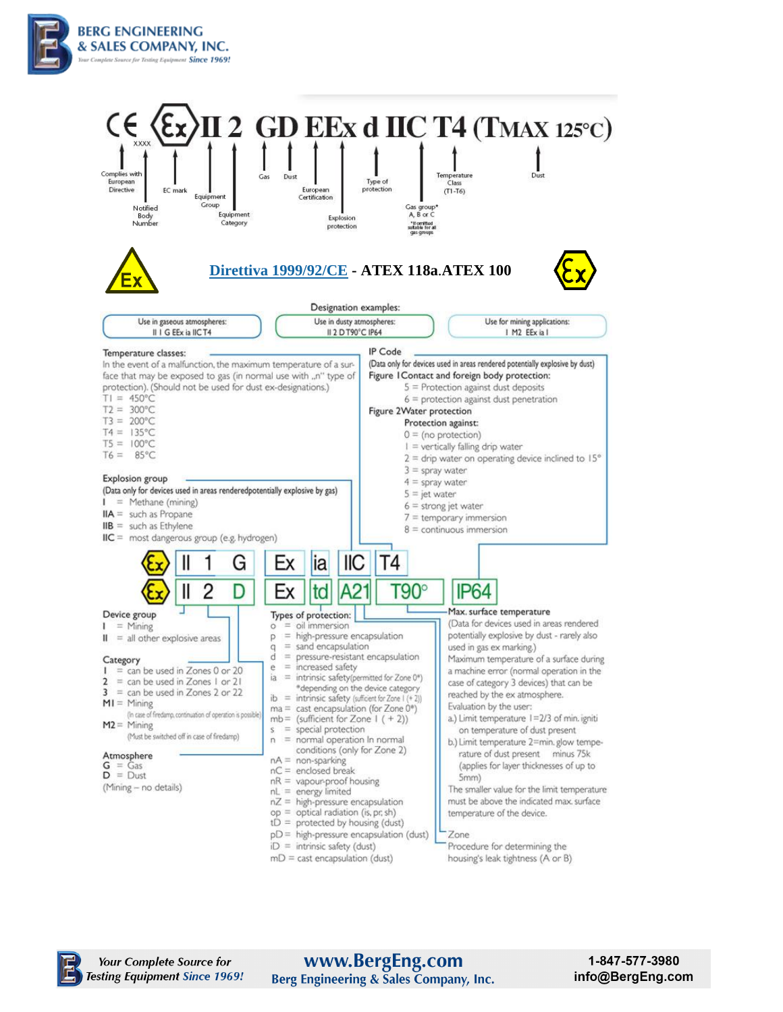



### www.BergEng.com Berg Engineering & Sales Company, Inc.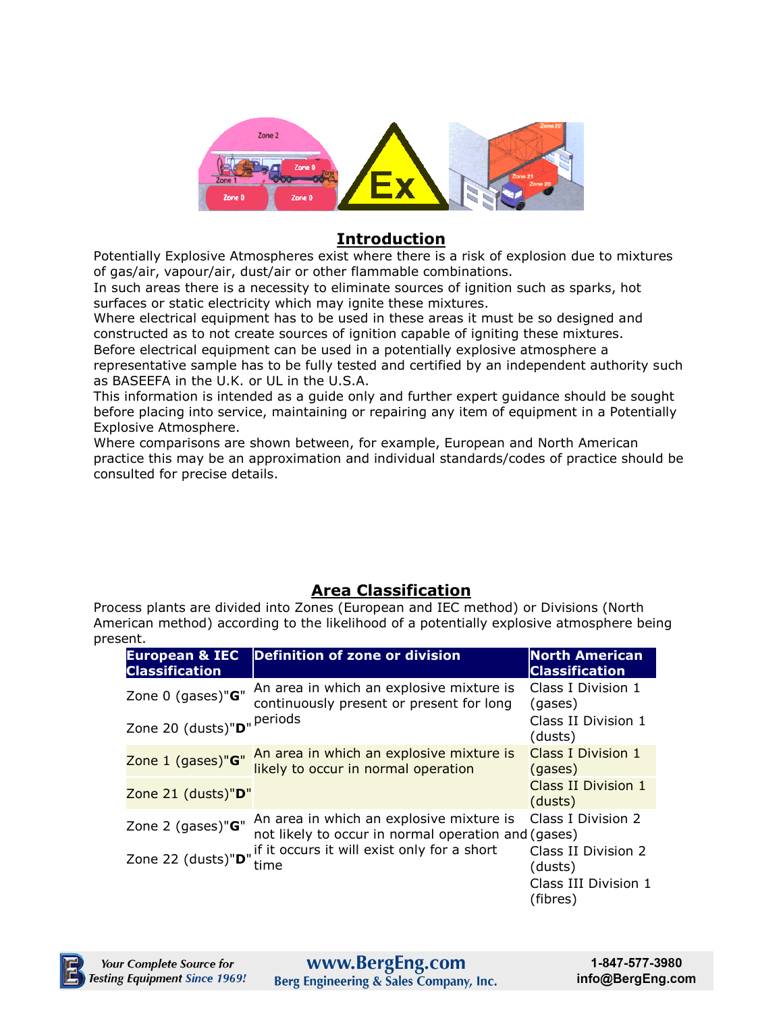

#### **Introduction**

Potentially Explosive Atmospheres exist where there is a risk of explosion due to mixtures of gas/air, vapour/air, dust/air or other flammable combinations.

In such areas there is a necessity to eliminate sources of ignition such as sparks, hot surfaces or static electricity which may ignite these mixtures.

Where electrical equipment has to be used in these areas it must be so designed and constructed as to not create sources of ignition capable of igniting these mixtures. Before electrical equipment can be used in a potentially explosive atmosphere a representative sample has to be fully tested and certified by an independent authority such

as BASEEFA in the U.K. or UL in the U.S.A.

This information is intended as a guide only and further expert guidance should be sought before placing into service, maintaining or repairing any item of equipment in a Potentially Explosive Atmosphere.

Where comparisons are shown between, for example, European and North American practice this may be an approximation and individual standards/codes of practice should be consulted for precise details.

## **Area Classification**

Process plants are divided into Zones (European and IEC method) or Divisions (North American method) according to the likelihood of a potentially explosive atmosphere being present.

| <b>European &amp; IEC</b><br><b>Classification</b> | <b>Definition of zone or division</b>                                                           | <b>North American</b><br><b>Classification</b>                  |  |
|----------------------------------------------------|-------------------------------------------------------------------------------------------------|-----------------------------------------------------------------|--|
| Zone 0 (gases)"G"                                  | An area in which an explosive mixture is<br>continuously present or present for long            | Class I Division 1<br>(gases)<br>Class II Division 1<br>(dusts) |  |
| Zone 20 (dusts)"D" Periods                         |                                                                                                 |                                                                 |  |
| Zone 1 (gases)"G"                                  | An area in which an explosive mixture is<br>likely to occur in normal operation                 | Class I Division 1<br>(gases)                                   |  |
| Zone 21 (dusts)"D"                                 |                                                                                                 | Class II Division 1<br>(dusts)                                  |  |
| Zone 2 (gases)"G"                                  | An area in which an explosive mixture is<br>not likely to occur in normal operation and (gases) | Class I Division 2                                              |  |
| Zone 22 (dusts)"D"                                 | if it occurs it will exist only for a short<br>time                                             | Class II Division 2<br>(dusts)                                  |  |
|                                                    |                                                                                                 | Class III Division 1<br>(fibres)                                |  |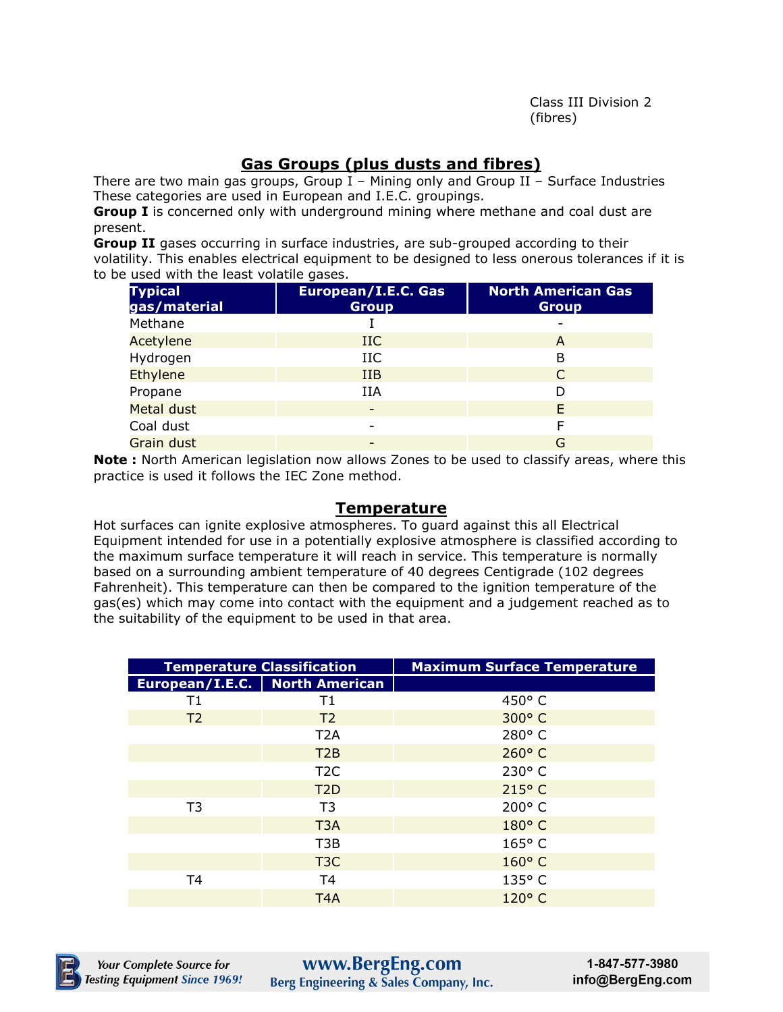Class III Division 2 (fibres)

# **Gas Groups (plus dusts and fibres)**

There are two main gas groups, Group  $I$  – Mining only and Group II – Surface Industries These categories are used in European and I.E.C. groupings.

**Group I** is concerned only with underground mining where methane and coal dust are present.

**Group II** gases occurring in surface industries, are sub-grouped according to their volatility. This enables electrical equipment to be designed to less onerous tolerances if it is to be used with the least volatile gases.

| <b>Typical</b><br>gas/material | European/I.E.C. Gas<br><b>Group</b> | <b>North American Gas</b><br><b>Group</b> |
|--------------------------------|-------------------------------------|-------------------------------------------|
| Methane                        |                                     |                                           |
| Acetylene                      | $_{\rm IIC}$                        | A                                         |
| Hydrogen                       | IIC                                 | В                                         |
| <b>Ethylene</b>                | <b>IIB</b>                          | C                                         |
| Propane                        | IIA                                 | D                                         |
| Metal dust                     | -                                   | F                                         |
| Coal dust                      |                                     |                                           |
| <b>Grain dust</b>              |                                     | G                                         |

**Note :** North American legislation now allows Zones to be used to classify areas, where this practice is used it follows the IEC Zone method.

#### **Temperature**

Hot surfaces can ignite explosive atmospheres. To guard against this all Electrical Equipment intended for use in a potentially explosive atmosphere is classified according to the maximum surface temperature it will reach in service. This temperature is normally based on a surrounding ambient temperature of 40 degrees Centigrade (102 degrees Fahrenheit). This temperature can then be compared to the ignition temperature of the gas(es) which may come into contact with the equipment and a judgement reached as to the suitability of the equipment to be used in that area.

|                | <b>Temperature Classification</b> | <b>Maximum Surface Temperature</b> |
|----------------|-----------------------------------|------------------------------------|
|                | European/I.E.C.   North American  |                                    |
| Τ1             | Τ1                                | $450^{\circ}$ C                    |
| T <sub>2</sub> | T <sub>2</sub>                    | 300° C                             |
|                | T <sub>2</sub> A                  | 280° C                             |
|                | T2B                               | $260^\circ$ C                      |
|                | T <sub>2</sub> C                  | 230° C                             |
|                | T <sub>2</sub> D                  | $215^{\circ}$ C                    |
| T <sub>3</sub> | T <sub>3</sub>                    | $200^\circ$ C                      |
|                | T <sub>3</sub> A                  | 180°C                              |
|                | T <sub>3</sub> B                  | $165^\circ$ C                      |
|                | T <sub>3</sub> C                  | $160^{\circ}$ C                    |
| T4             | T <sub>4</sub>                    | 135° C                             |
|                | T <sub>4</sub> A                  | 120° C                             |



www.BergEng.com Berg Engineering & Sales Company, Inc.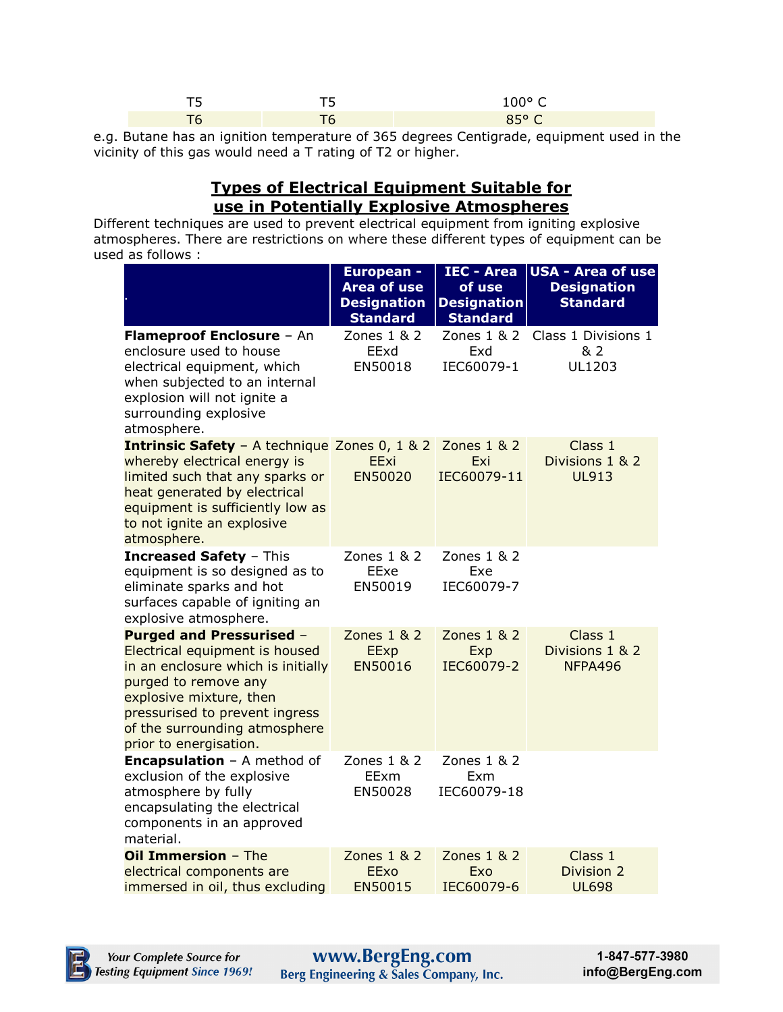| __                       | ___<br>. . | nno r |
|--------------------------|------------|-------|
| $\overline{\phantom{a}}$ | __         | .     |

e.g. Butane has an ignition temperature of 365 degrees Centigrade, equipment used in the vicinity of this gas would need a T rating of T2 or higher.

## **Types of Electrical Equipment Suitable for use in Potentially Explosive Atmospheres**

Different techniques are used to prevent electrical equipment from igniting explosive atmospheres. There are restrictions on where these different types of equipment can be used as follows :

|                                                                                                                                                                                                                                                         | <b>European -</b><br><b>Area of use</b><br><b>Designation</b><br><b>Standard</b> | <b>IEC - Area</b><br>of use<br><b>Designation</b><br><b>Standard</b> | <b>USA - Area of use</b><br><b>Designation</b><br><b>Standard</b> |
|---------------------------------------------------------------------------------------------------------------------------------------------------------------------------------------------------------------------------------------------------------|----------------------------------------------------------------------------------|----------------------------------------------------------------------|-------------------------------------------------------------------|
| Flameproof Enclosure - An<br>enclosure used to house<br>electrical equipment, which<br>when subjected to an internal<br>explosion will not ignite a<br>surrounding explosive<br>atmosphere.                                                             | Zones 1 & 2<br>EExd<br>EN50018                                                   | Zones 1 & 2<br>Exd<br>IEC60079-1                                     | Class 1 Divisions 1<br>& 2<br>UL1203                              |
| <b>Intrinsic Safety</b> - A technique Zones 0, 1 & 2<br>whereby electrical energy is<br>limited such that any sparks or<br>heat generated by electrical<br>equipment is sufficiently low as<br>to not ignite an explosive<br>atmosphere.                | EExi<br>EN50020                                                                  | Zones 1 & 2<br>Exi<br>IEC60079-11                                    | Class 1<br>Divisions 1 & 2<br><b>UL913</b>                        |
| <b>Increased Safety - This</b><br>equipment is so designed as to<br>eliminate sparks and hot<br>surfaces capable of igniting an<br>explosive atmosphere.                                                                                                | Zones 1 & 2<br>EExe<br>EN50019                                                   | Zones 1 & 2<br>Exe<br>IEC60079-7                                     |                                                                   |
| <b>Purged and Pressurised -</b><br>Electrical equipment is housed<br>in an enclosure which is initially<br>purged to remove any<br>explosive mixture, then<br>pressurised to prevent ingress<br>of the surrounding atmosphere<br>prior to energisation. | Zones 1 & 2<br>EExp<br>EN50016                                                   | Zones 1 & 2<br>Exp<br>IEC60079-2                                     | Class 1<br>Divisions 1 & 2<br>NFPA496                             |
| <b>Encapsulation</b> - A method of<br>exclusion of the explosive<br>atmosphere by fully<br>encapsulating the electrical<br>components in an approved<br>material.                                                                                       | Zones $1 & 2$<br>EExm<br>EN50028                                                 | Zones $1 & 2$<br>Exm<br>IEC60079-18                                  |                                                                   |
| Oil Immersion - The<br>electrical components are<br>immersed in oil, thus excluding                                                                                                                                                                     | Zones 1 & 2<br>EExo<br>EN50015                                                   | Zones 1 & 2<br>Exo<br>IEC60079-6                                     | Class 1<br>Division 2<br><b>UL698</b>                             |

**WWW.BergEng.com**<br>Berg Engineering & Sales Company, Inc.

1-847-577-3980 info@BergEng.com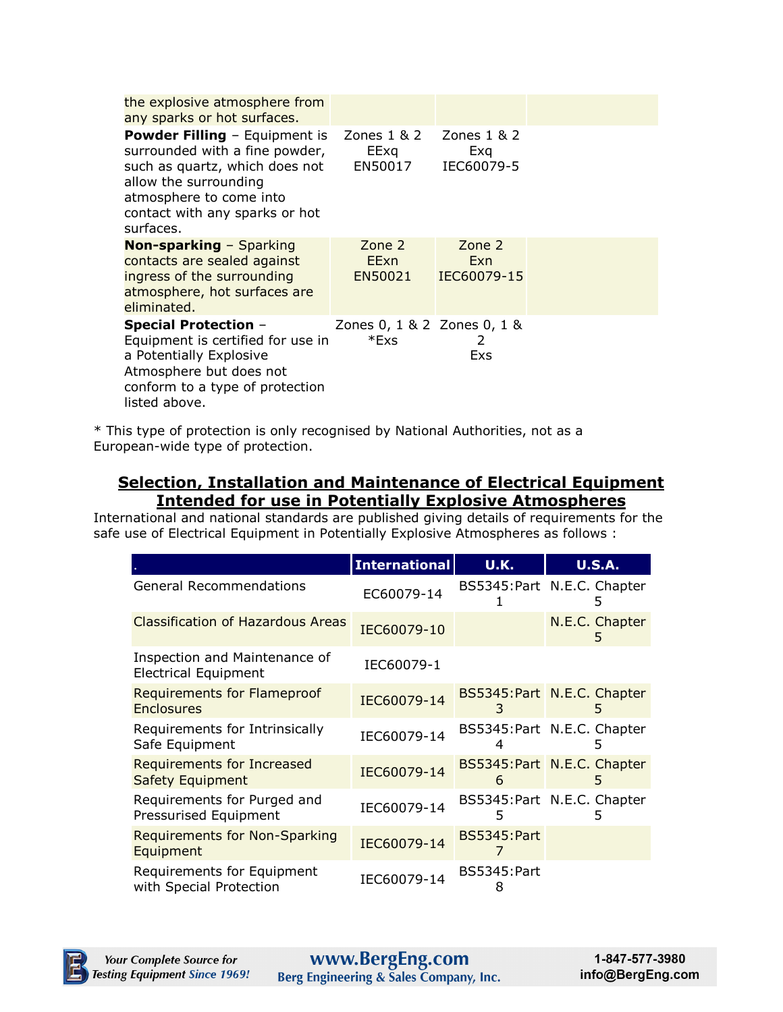| the explosive atmosphere from<br>any sparks or hot surfaces.                                                                                                                                                |                                                  |                              |  |
|-------------------------------------------------------------------------------------------------------------------------------------------------------------------------------------------------------------|--------------------------------------------------|------------------------------|--|
| <b>Powder Filling - Equipment is</b><br>surrounded with a fine powder,<br>such as quartz, which does not<br>allow the surrounding<br>atmosphere to come into<br>contact with any sparks or hot<br>surfaces. | Zones $1 \& 2$ Zones $1 \& 2$<br>EExg<br>EN50017 | Exq<br>IEC60079-5            |  |
| <b>Non-sparking - Sparking</b><br>contacts are sealed against<br>ingress of the surrounding<br>atmosphere, hot surfaces are<br>eliminated.                                                                  | Zone 2<br>EExn<br>EN50021                        | Zone 2<br>Exn<br>IEC60079-15 |  |
| <b>Special Protection -</b><br>Equipment is certified for use in<br>a Potentially Explosive<br>Atmosphere but does not<br>conform to a type of protection<br>listed above.                                  | Zones 0, 1 & 2 Zones 0, 1 &<br>*Exs              | 2<br>Exs                     |  |

\* This type of protection is only recognised by National Authorities, not as a European-wide type of protection.

## **Selection, Installation and Maintenance of Electrical Equipment Intended for use in Potentially Explosive Atmospheres**

International and national standards are published giving details of requirements for the safe use of Electrical Equipment in Potentially Explosive Atmospheres as follows :

|                                                              | <b>International</b> | <b>U.K.</b>             | <b>U.S.A.</b>                    |
|--------------------------------------------------------------|----------------------|-------------------------|----------------------------------|
| <b>General Recommendations</b>                               | EC60079-14           |                         | BS5345: Part N.E.C. Chapter<br>5 |
| <b>Classification of Hazardous Areas</b>                     | IEC60079-10          |                         | N.E.C. Chapter<br>5              |
| Inspection and Maintenance of<br><b>Electrical Equipment</b> | IEC60079-1           |                         |                                  |
| <b>Requirements for Flameproof</b><br><b>Enclosures</b>      | IEC60079-14          | 3                       | BS5345: Part N.E.C. Chapter<br>5 |
| Requirements for Intrinsically<br>Safe Equipment             | IEC60079-14          |                         | BS5345:Part N.E.C. Chapter       |
| Requirements for Increased<br>Safety Equipment               | IEC60079-14          | 6                       | BS5345: Part N.E.C. Chapter<br>5 |
| Requirements for Purged and<br>Pressurised Equipment         | IEC60079-14          | 5                       | BS5345: Part N.E.C. Chapter      |
| <b>Requirements for Non-Sparking</b><br>Equipment            | IEC60079-14          | <b>BS5345:Part</b>      |                                  |
| Requirements for Equipment<br>with Special Protection        | IEC60079-14          | <b>BS5345:Part</b><br>8 |                                  |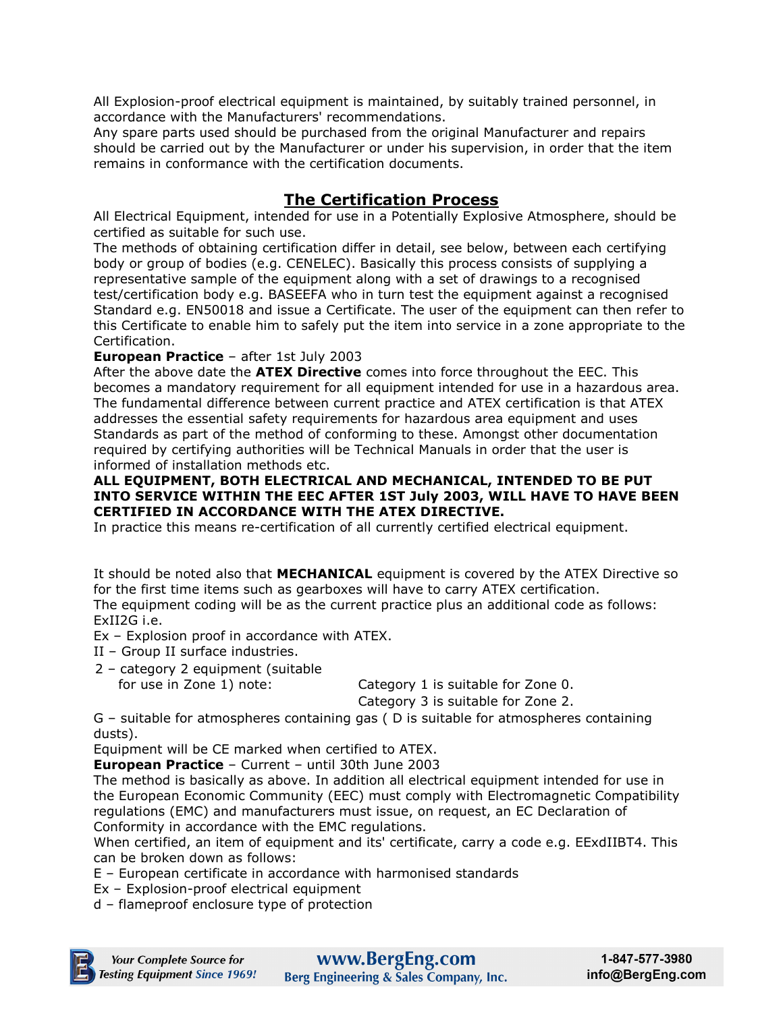All Explosion-proof electrical equipment is maintained, by suitably trained personnel, in accordance with the Manufacturers' recommendations.

Any spare parts used should be purchased from the original Manufacturer and repairs should be carried out by the Manufacturer or under his supervision, in order that the item remains in conformance with the certification documents.

# **The Certification Process**

All Electrical Equipment, intended for use in a Potentially Explosive Atmosphere, should be certified as suitable for such use.

The methods of obtaining certification differ in detail, see below, between each certifying body or group of bodies (e.g. CENELEC). Basically this process consists of supplying a representative sample of the equipment along with a set of drawings to a recognised test/certification body e.g. BASEEFA who in turn test the equipment against a recognised Standard e.g. EN50018 and issue a Certificate. The user of the equipment can then refer to this Certificate to enable him to safely put the item into service in a zone appropriate to the Certification.

**European Practice** – after 1st July 2003

After the above date the **ATEX Directive** comes into force throughout the EEC. This becomes a mandatory requirement for all equipment intended for use in a hazardous area. The fundamental difference between current practice and ATEX certification is that ATEX addresses the essential safety requirements for hazardous area equipment and uses Standards as part of the method of conforming to these. Amongst other documentation required by certifying authorities will be Technical Manuals in order that the user is informed of installation methods etc.

#### **ALL EQUIPMENT, BOTH ELECTRICAL AND MECHANICAL, INTENDED TO BE PUT INTO SERVICE WITHIN THE EEC AFTER 1ST July 2003, WILL HAVE TO HAVE BEEN CERTIFIED IN ACCORDANCE WITH THE ATEX DIRECTIVE.**

In practice this means re-certification of all currently certified electrical equipment.

It should be noted also that **MECHANICAL** equipment is covered by the ATEX Directive so for the first time items such as gearboxes will have to carry ATEX certification. The equipment coding will be as the current practice plus an additional code as follows: ExII2G i.e.

Ex – Explosion proof in accordance with ATEX.

- II Group II surface industries.
- 2 category 2 equipment (suitable

for use in Zone 1) note: Category 1 is suitable for Zone 0.

Category 3 is suitable for Zone 2.

G – suitable for atmospheres containing gas ( D is suitable for atmospheres containing dusts).

Equipment will be CE marked when certified to ATEX.

**European Practice** – Current – until 30th June 2003

The method is basically as above. In addition all electrical equipment intended for use in the European Economic Community (EEC) must comply with Electromagnetic Compatibility regulations (EMC) and manufacturers must issue, on request, an EC Declaration of Conformity in accordance with the EMC regulations.

When certified, an item of equipment and its' certificate, carry a code e.g. EExdIIBT4. This can be broken down as follows:

E – European certificate in accordance with harmonised standards

Ex – Explosion-proof electrical equipment

d – flameproof enclosure type of protection

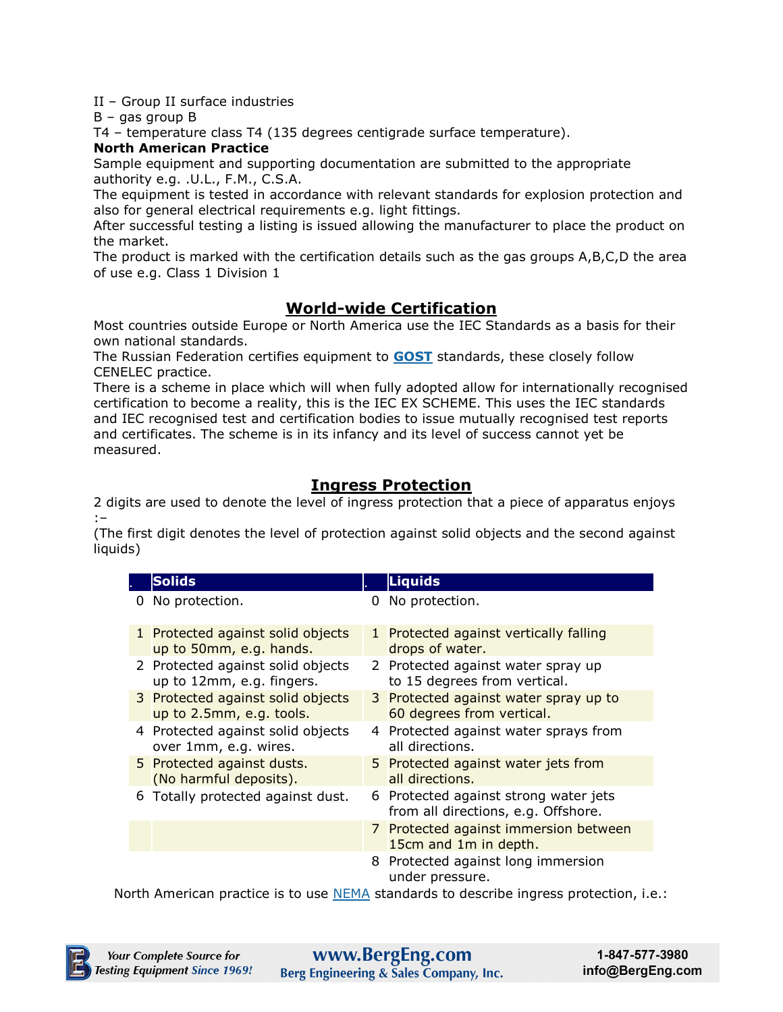II – Group II surface industries

B – gas group B

T4 – temperature class T4 (135 degrees centigrade surface temperature).

#### **North American Practice**

Sample equipment and supporting documentation are submitted to the appropriate authority e.g. .U.L., F.M., C.S.A.

The equipment is tested in accordance with relevant standards for explosion protection and also for general electrical requirements e.g. light fittings.

After successful testing a listing is issued allowing the manufacturer to place the product on the market.

The product is marked with the certification details such as the gas groups A,B,C,D the area of use e.g. Class 1 Division 1

# **World-wide Certification**

Most countries outside Europe or North America use the IEC Standards as a basis for their own national standards.

The Russian Federation certifies equipment to **[GOST](http://www.attest.ru/eng/)** standards, these closely follow CENELEC practice.

There is a scheme in place which will when fully adopted allow for internationally recognised certification to become a reality, this is the IEC EX SCHEME. This uses the IEC standards and IEC recognised test and certification bodies to issue mutually recognised test reports and certificates. The scheme is in its infancy and its level of success cannot yet be measured.

## **Ingress Protection**

2 digits are used to denote the level of ingress protection that a piece of apparatus enjoys :–

(The first digit denotes the level of protection against solid objects and the second against liquids)

|   | <b>Solids</b>                                                  |   | <b>Liquids</b>                                                               |
|---|----------------------------------------------------------------|---|------------------------------------------------------------------------------|
| 0 | No protection.                                                 | O | No protection.                                                               |
|   | 1 Protected against solid objects<br>up to 50mm, e.g. hands.   |   | 1 Protected against vertically falling<br>drops of water.                    |
|   | 2 Protected against solid objects<br>up to 12mm, e.g. fingers. |   | 2 Protected against water spray up<br>to 15 degrees from vertical.           |
|   | 3 Protected against solid objects<br>up to 2.5mm, e.g. tools.  |   | 3 Protected against water spray up to<br>60 degrees from vertical.           |
|   | 4 Protected against solid objects<br>over 1mm, e.g. wires.     |   | 4 Protected against water sprays from<br>all directions.                     |
|   | 5 Protected against dusts.<br>(No harmful deposits).           |   | 5 Protected against water jets from<br>all directions.                       |
|   | 6 Totally protected against dust.                              |   | 6 Protected against strong water jets<br>from all directions, e.g. Offshore. |
|   |                                                                |   | 7 Protected against immersion between<br>15cm and 1m in depth.               |
|   |                                                                |   | 8 Protected against long immersion<br>under pressure.                        |

North American practice is to use [NEMA](http://www.nema-enclosures.cc/) standards to describe ingress protection, i.e.: